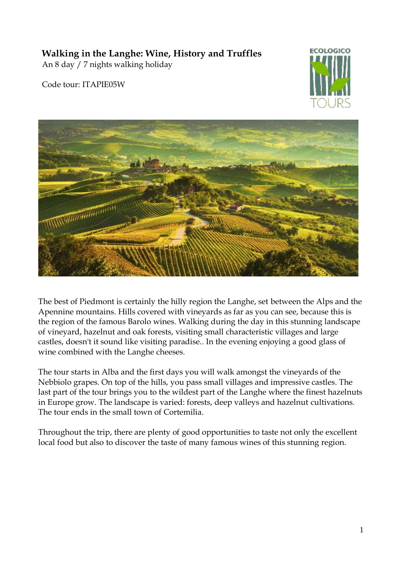# **Walking in the Langhe: Wine, History and Truffles**

An 8 day / 7 nights walking holiday

Code tour: ITAPIE05W





The best of Piedmont is certainly the hilly region the Langhe, set between the Alps and the Apennine mountains. Hills covered with vineyards as far as you can see, because this is the region of the famous Barolo wines. Walking during the day in this stunning landscape of vineyard, hazelnut and oak forests, visiting small characteristic villages and large castles, doesn't it sound like visiting paradise.. In the evening enjoying a good glass of wine combined with the Langhe cheeses.

The tour starts in Alba and the first days you will walk amongst the vineyards of the Nebbiolo grapes. On top of the hills, you pass small villages and impressive castles. The last part of the tour brings you to the wildest part of the Langhe where the finest hazelnuts in Europe grow. The landscape is varied: forests, deep valleys and hazelnut cultivations. The tour ends in the small town of Cortemilia.

Throughout the trip, there are plenty of good opportunities to taste not only the excellent local food but also to discover the taste of many famous wines of this stunning region.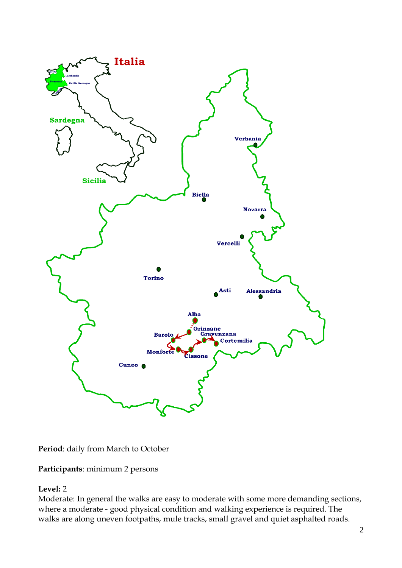

**Period**: daily from March to October

**Participants**: minimum 2 persons

### **Level:** 2

Moderate: In general the walks are easy to moderate with some more demanding sections, where a moderate - good physical condition and walking experience is required. The walks are along uneven footpaths, mule tracks, small gravel and quiet asphalted roads.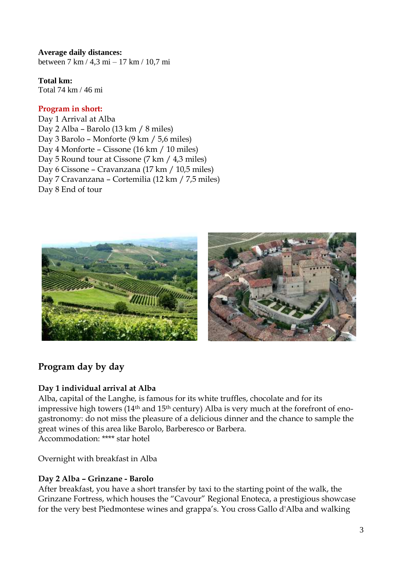**Average daily distances:** between 7 km / 4,3 mi – 17 km / 10,7 mi

**Total km:**

Total 74 km / 46 mi

## **Program in short:**

Day 1 Arrival at Alba Day 2 Alba – Barolo (13 km / 8 miles) Day 3 Barolo – Monforte (9 km / 5,6 miles) Day 4 Monforte – Cissone (16 km / 10 miles) Day 5 Round tour at Cissone (7 km / 4,3 miles) Day 6 Cissone – Cravanzana (17 km / 10,5 miles) Day 7 Cravanzana – Cortemilia (12 km / 7,5 miles) Day 8 End of tour



# **Program day by day**

# **Day 1 individual arrival at Alba**

Alba, capital of the Langhe, is famous for its white truffles, chocolate and for its impressive high towers  $(14<sup>th</sup>$  and  $15<sup>th</sup>$  century) Alba is very much at the forefront of enogastronomy: do not miss the pleasure of a delicious dinner and the chance to sample the great wines of this area like Barolo, Barberesco or Barbera. Accommodation: \*\*\*\* star hotel

Overnight with breakfast in Alba

# **Day 2 Alba – Grinzane - Barolo**

After breakfast, you have a short transfer by taxi to the starting point of the walk, the Grinzane Fortress, which houses the "Cavour" Regional Enoteca, a prestigious showcase for the very best Piedmontese wines and grappa's. You cross Gallo d'Alba and walking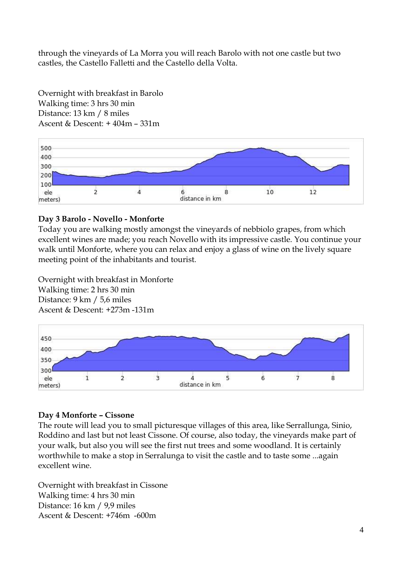through the vineyards of La Morra you will reach Barolo with not one castle but two castles, the Castello Falletti and the Castello della Volta.



Overnight with breakfast in Barolo Walking time: 3 hrs 30 min Distance: 13 km / 8 miles Ascent  $\&$  Descent:  $+404m - 331m$ 

#### **Day 3 Barolo - Novello - Monforte**

Today you are walking mostly amongst the vineyards of nebbiolo grapes, from which excellent wines are made; you reach Novello with its impressive castle. You continue your walk until Monforte, where you can relax and enjoy a glass of wine on the lively square meeting point of the inhabitants and tourist.

Overnight with breakfast in Monforte Walking time: 2 hrs 30 min Distance: 9 km / 5,6 miles Ascent & Descent: +273m -131m



#### **Day 4 Monforte – Cissone**

The route will lead you to small picturesque villages of this area, like Serrallunga, Sinio, Roddino and last but not least Cissone. Of course, also today, the vineyards make part of your walk, but also you will see the first nut trees and some woodland. It is certainly worthwhile to make a stop in Serralunga to visit the castle and to taste some ...again excellent wine.

Overnight with breakfast in Cissone Walking time: 4 hrs 30 min Distance: 16 km / 9,9 miles Ascent & Descent: +746m -600m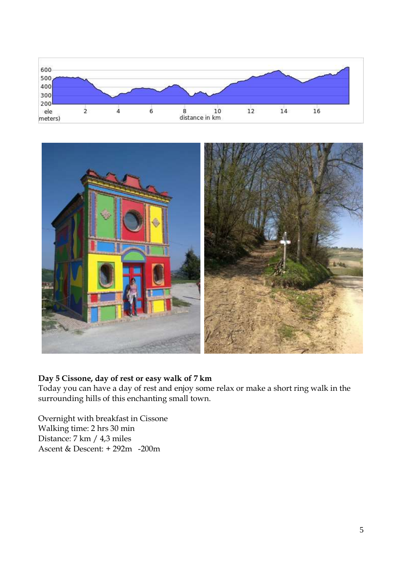



## **Day 5 Cissone, day of rest or easy walk of 7 km**

Today you can have a day of rest and enjoy some relax or make a short ring walk in the surrounding hills of this enchanting small town.

Overnight with breakfast in Cissone Walking time: 2 hrs 30 min Distance: 7 km / 4,3 miles Ascent & Descent: + 292m -200m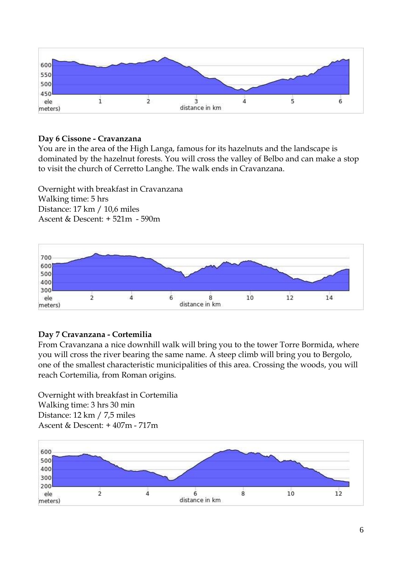

### **Day 6 Cissone - Cravanzana**

You are in the area of the High Langa, famous for its hazelnuts and the landscape is dominated by the hazelnut forests. You will cross the valley of Belbo and can make a stop to visit the church of Cerretto Langhe. The walk ends in Cravanzana.

Overnight with breakfast in Cravanzana Walking time: 5 hrs Distance: 17 km / 10,6 miles Ascent & Descent: + 521m - 590m



### **Day 7 Cravanzana - Cortemilia**

From Cravanzana a nice downhill walk will bring you to the tower Torre Bormida, where you will cross the river bearing the same name. A steep climb will bring you to Bergolo, one of the smallest characteristic municipalities of this area. Crossing the woods, you will reach Cortemilia, from Roman origins.

Overnight with breakfast in Cortemilia Walking time: 3 hrs 30 min Distance: 12 km / 7,5 miles Ascent & Descent: + 407m - 717m

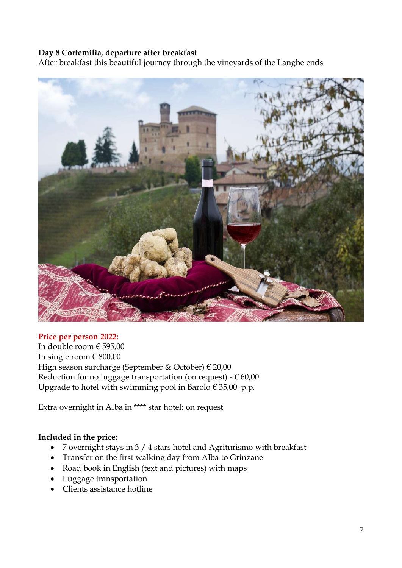### **Day 8 Cortemilia, departure after breakfast**

After breakfast this beautiful journey through the vineyards of the Langhe ends



#### **Price per person 2022:**

In double room  $\in$  595,00 In single room  $\in$  800,00 High season surcharge (September & October) € 20,00 Reduction for no luggage transportation (on request) -  $\epsilon$  60,00 Upgrade to hotel with swimming pool in Barolo  $\epsilon$  35,00 p.p.

Extra overnight in Alba in \*\*\*\* star hotel: on request

#### **Included in the price**:

- 7 overnight stays in 3 / 4 stars hotel and Agriturismo with breakfast
- Transfer on the first walking day from Alba to Grinzane
- Road book in English (text and pictures) with maps
- Luggage transportation
- Clients assistance hotline